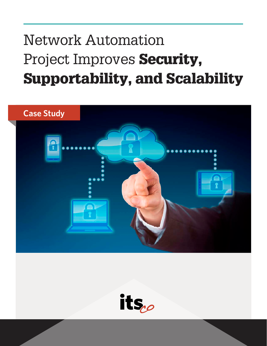# Network Automation Project Improves Security, Supportability, and Scalability



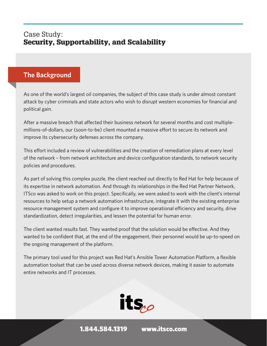## Case Study: Security, Supportability, and Scalability

#### **The Background**

As one of the world's largest oil companies, the subject of this case study is under almost constant attack by cyber criminals and state actors who wish to disrupt western economies for financial and political gain.

After a massive breach that affected their business network for several months and cost multiplemillions-of-dollars, our (soon-to-be) client mounted a massive effort to secure its network and improve its cybersecurity defenses across the company.

This effort included a review of vulnerabilities and the creation of remediation plans at every level of the network – from network architecture and device configuration standards, to network security policies and procedures.

As part of solving this complex puzzle, the client reached out directly to Red Hat for help because of its expertise in network automation. And through its relationships in the Red Hat Partner Network, ITSco was asked to work on this project. Specifically, we were asked to work with the client's internal resources to help setup a network automation infrastructure, integrate it with the existing enterprise resource management system and configure it to improve operational efficiency and security, drive standardization, detect irregularities, and lessen the potential for human error.

The client wanted results fast. They wanted proof that the solution would be effective. And they wanted to be confident that, at the end of the engagement, their personnel would be up-to-speed on the ongoing management of the platform.

The primary tool used for this project was Red Hat's Ansible Tower Automation Platform, a flexible automation toolset that can be used across diverse network devices, making it easier to automate entire networks and IT processes.



1.844.584.1319 [www.itsco.com](http://www.itsco.com)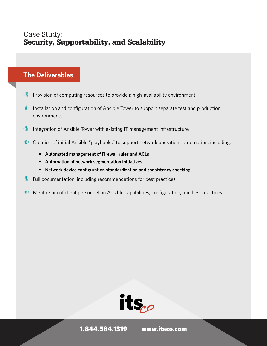## Case Study: Security, Supportability, and Scalability

#### **The Deliverables**

- Provision of computing resources to provide a high-availability environment,
- Installation and configuration of Ansible Tower to support separate test and production environments,
- U Integration of Ansible Tower with existing IT management infrastructure,
- **Example 2** Creation of initial Ansible "playbooks" to support network operations automation, including:
	- **• Automated management of Firewall rules and ACLs**
	- **• Automation of network segmentation initiatives**
	- **• Network device configuration standardization and consistency checking**
- Full documentation, including recommendations for best practices
- Mentorship of client personnel on Ansible capabilities, configuration, and best practices



1.844.584.1319 [www.itsco.com](http://www.itsco.com)